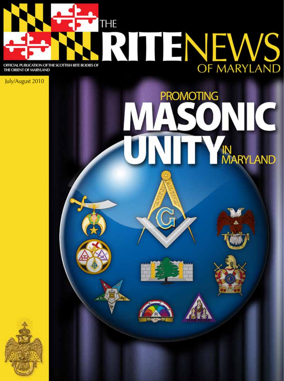

July/August 2010



PROMOTING

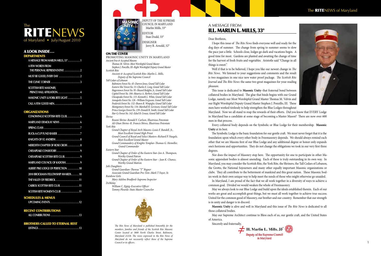### Dear Brethren,

I hope this issue of *The Rite News* finds everyone well and ready for the dog days of summer. The change from spring to summer seems to slow the pace just a little. Schools close, lodges go dark and vacations begin. A good time for most. Gardens are planted and awaiting the change of time for the harvest of fresh fruits and vegetables. Aristotle said "Change in all things is sweet."

Well if that is to be believed, I hope you like our newest change in *The Rite News*. We listened to your suggestions and comments and the result is two magazines in one nice new water proof package. *The Scottish Rite Journal* and *The Rite News*: the same two great magazines for your reading pleasure.

This issue is dedicated to **Masonic Unity**–that fraternal bond between collateral bodies in Maryland. The glue that binds begins with our Grand Lodge, namely our Most Worshipful Grand Master Thomas M. Velvin and our Right Worshipful Deputy Grand Master Stephen J. Ponzillo, III. These men have worked tirelessly to help strengthen the Blue Lodges throughout Maryland. Now we all stand to reap the rewards of their efforts. Did you know that EVERY Lodge in Maryland has a candidate at some stage of becoming a Master Mason? There are now over 600 men in that process.

Every collateral body depends on the Symbolic or Blue Lodge for their membership. **Masonic Unity** at its best.

### A messa g e fro m ILL. MARLIN L. MILLS, 33°

The Symbolic Lodge is the basic foundation for our gentle craft. We must never forget that it is the foundation upon which every other body in Freemasonry depends. We should always remind each other that we are Masons first of our Blue Lodge and any additional degree or honor only expands one's horizons and opportunities. They do not change the obligations we took in our very first three degrees.

Nor does the impact of Masonry stop here. The opportunity for one to participate in other Ma sonic appendant bodies is almost unending. Each of these is truly outstanding in its own way. In Maryland, you may consider the Scottish Rite, the York Rite, the Shriners, the Tall Cedars of Lebanon, the Grotto, the National Sojourners and many other equally important Masonic organizations or clubs. They all contribute to the betterment of mankind and this great nation. These Masonic bod ies work in their own unique way to help meet the needs of those who might otherwise go unaided. In Maryland, I am proud of the fact that we all work together in a diversity of ways to achieve a

common goal. Divided we would weaken the whole of Freemasonry.

PROMOTING MASONIC UNITY IN MA *Ancient Free & Accepted Masons Thomas M. Velvin–Most Worshipful Grand Master* 

> May we always look to our Blue Lodge and build upon the ideals established therein. Each of our works are great and accomplish great things, but we must all work together to achieve true success. United for the common good of Masonry, our brother and our country. Remember that our strength is in unity and danger is in discord.

> **Masonic Unity** is alive and well in Maryland and this issue of *The Rite News* is dedicated to all those collateral bodies.

> May our Supreme Architect continue to Bless each of us, our gentle craft, and the United States of America.

Sincerely and fraternally,



### The **RITE**NEWS of Maryland



### A look inside...

### **DEPARTMENTS**

| A MESSAGE FROM MARLIN MILLS, 33° 1                |
|---------------------------------------------------|
| A FEW WORDS FROM<br>THE PERSONAL REPRESENTATIVE 2 |
|                                                   |
| THE CLINIC CORNER 3                               |
| <b>SCOTTISH RITE MASONRY,</b>                     |
|                                                   |
| <b>MASONIC UNITY &amp; YORK RITE LIGHT 5</b>      |
|                                                   |

### **ORGANIZATIONS**

| CONOWINGO SCOTTISH RITE CLUB6                                |  |
|--------------------------------------------------------------|--|
| MARYLAND DEMOLAY NEWS 6                                      |  |
|                                                              |  |
|                                                              |  |
| KNIGHTS OF ST. ANDREW. $\dots\dots\dots\dots\dots\dots\dots$ |  |
| <b>MEREDITH CHAPTER OF ROSE CROIX 8</b>                      |  |
| CHESAPEAKE CONSISTORY9                                       |  |
| CHESAPEAKE SCOTTISH RITE CLUB9                               |  |
| MARYLAND COUNCIL OF KADOSH. 9                                |  |
| ALBERT PIKE LODGE OF PERFECTION 10                           |  |
| 2010 BROCKMAN FELLOWSHIP AWARDS10                            |  |
| THE VALLEY OF FREDRICK11                                     |  |
| CARROL SCOTTISH RITE CLUB11                                  |  |
| <b>SCOTISH RITE WOMEN'S CLUB 11</b>                          |  |
| <b>SCHEDULES &amp; MENUS</b>                                 |  |

### Recent contributions

| ALL CONRIBUTIONS 13 |  |
|---------------------|--|
|                     |  |

### Brothers called to etern al rest

**lis tings . . . . . . . . . . . . . . . . . . . . . . . . . . . . . . . . . . . 13**



### On the Cover

*Stephen J. Ponzillo, III–Right Worshipful Deputy Grand Master Scottish Rite*

*Ancient & Accepted Scottish Rite–Marlin L. Mills, Deputy of the Supreme Council* 

*Tall Cedars of Lebanon* 

*Baltimore Forest No. 45–Darren Jones, Grand Tall Cedar Eastern Sho' Forest No. 53–Charles E. Long, Grand Tall Cedar Hagerstown Forest No. 95–Sheard Hedglin, Jr., Grand Tall Cedar Capitol Forest No. 104–Maurice A. Herbert, Grand Tall Cedar Chesapeake Forest No. 115–Kenneth L. White, Grand Tall Cedar Annapolis Forest No. 126 –William Ferguson, Grand Tall Cedar Frederick Forest No. 132–Shawn R. Winpigler, Grand Tall Cedar Montgomery Forest No. 134–Marshall H. Gevinson, Grand Tall Cedar Prince Georges Forest No. 139–Donald R. Smith, Grand Tall Cedar Har-Ce Forest No. 142–Edsel B. Crouse, Grand Tall Cedar Shrine*

*Boumi Shrine–Ronald F. Carlson, Illustrious Potentate Ali Ghan Shrine–R. Francis Shives, Illustrious Potentate York Rite*

*Grand Chapter of Royal Arch Masons–Louis F. Bandell, Jr., Most Excellent Grand High Priest*

*Grand Council of Royal and Select Masters–Richard P. Naegele, Most Excellent Grand Master*

*Grand Commandery of Knights Templar–Thomas G. Heimiller, Grand Commander*

*Eastern Star*

*Grand Chapter of Order of the Eastern Star–Jon A. Thompson, Worthy Grand Patron*

*Grand Chapter of Order of the Eastern Star – Jean K. Chance, Worthy Grand Matron*

*Job's Daughters*

*Grand Gaurdian–Theresa "T" Regner Associate Grand Guardian Pro-Tem–Mark T Fayer, Sr.*

*Rainbow Girls*

*Mary Adeline Bradford–Supreme Inspector* 

*William C. Eppig–Executive Officer Tommy Plourde–State Master Councilor* 



*The Rite News of Maryland is published bimonthly for the members, families and friends of the Scottish Rite Masonic Center located at 3800 North Charles Street, Baltimore, Maryland 21218. The views expressed in the Rite News of Maryland do not necessarily reflect those of the Supreme Council or its officers.*



Coun cil in Marylan d Marlin Mills, 33° EDITOF Stan Dodd, 33°

Designe r Jerry R. Arnold, 32°

*DeMolay*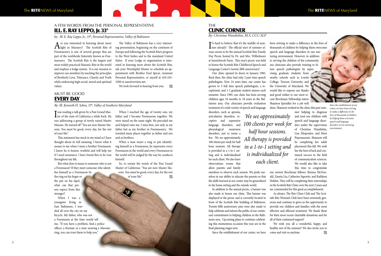### A FEW WORDS FROM THE personal Representative Ill. E. Ray Leppo, Jr. 33°

*by: Ill. E. Ray Leppo, Jr., 33°, Personal Representative, Valley of Baltimore*

Are you interested in learning about more<br>
a light in Masonry? The Scottish Rite of Freemasonry is one of several groups that are part of the worldwide fraternity known as Freemasonry. The Scottish Rite is the largest and most widely practiced Masonic Rite in the world and employs a lodge system. It is our mission to improve our members by teaching the principles of Brotherly Love, Tolerance, Charity and Truth while embracing high social, moral and spiritual values.

### Must be good **EVERY DAY**

The Valley of Baltimore has a very interesting presentation, beginning on the continent of Europe and following the Scottish Rite's progress to the West Indies and to the mainland United States. If your Lodge or organization is interested in learning more about the Scottish Rite, ask your Worshipful Master to schedule an appointment with Brother Fred Spicer, Assistant Personal Representative, or myself at 410-243- 3200 or aasr@verizon.net.

We look forward to hearing from you.

*By: Ill. Kenneth H. Sebra, 33°, Valley of Southern Maryland*

I was reading a talk given by a Past Grand Mas-ter of the state of California a while back. He was addressing a group of newly raised Master Masons. He started off "You are now Master Masons. You must be good, every day, for the rest of your life."

**THE** Clinic corner

This statement has stuck in my mind as I have thought about its full meaning. I know what it means to me when I meet a brother Freemason. I know he is honest, truthful and will help me if I need assistance. I have found this to be true throughout my life.

**I**<sup>t's</sup> hard to believe that it's the middle of sum-<br>mer already! The official start of summer al-Tt's hard to believe that it's the middle of sumways seems to be the annual Scottish Rite Family Day Picnic hosted by Dr. and Mrs. Wilhelmsen at Sunnybrook Farm. This year's picnic was held to honor the Scottish Rite Childhood Speech and Language Center's twenty-fifth anniversary!

But what does it mean to someone who is not a Freemason? If they meet someone who identifies himself as a Freemason by

the ring on his finger or the pin on his lapel, what can that person expect from this stranger?

When I was a youngster living in East Baltimore, I traveled all over the city on my bicycle. My father, who was not a Freemason at the time would tell me, "If you have a problem, find a police officer, a fireman or a man wearing a Masonic ring, you can trust them to help you."

When I reached the age of twenty one, my father and I became Freemasons together. We were raised on the same night. He preceded me and helped raise me. I miss him, not only as my father but as my brother in Freemasonry. We traveled many places together as father and son and as brothers.

When a man wears a ring or pin identifying himself as a Freemason, he represents every Freemason in the world and every Freemason in the world will be judged by the way he conducts himself.

So, to restate the words of the Past Grand Master of California: "You are now Master Masons. You must be good, every day, for the rest of your life." *By: Christine Wandishin, M.S, CCC-SLP*

*Since the establishment of our center, we have been striving to make a difference in the lives of thousands of children by helping them overcome speech and language disorders in our nurturing environment.*

Our clinic opened its doors in January 1985. Back then, the clinic had only 2 part time speech pathologists. Now 24 years later, our center has grown to 3 full time speech pathologists, a receptionist, and 1-2 graduate student interns each semester. Since 1985, our clinic has been serving children ages 18 months to 18 years in the Baltimore area. Our clinicians provide evaluation treatment of a wide variety of speech and language disorders, such as apraxia,

articulation disorders, receptive and expressive language disorders, and phonological awareness disorders, just to name a few. We see approximately 100 clients per week for half hour sessions. All therapy is provided in a 1-to-1 setting and is individualized for each client. We also have observations rooms that allow parents and family

members to observe each session. We pride ourselves in our ability to educate the parents so that the skills learned at our center may be generalized in the home setting and the outside world.

In addition to the annual picnic, a banner was also made to honor our clinic. This banner was displayed at the picnic and is currently located in front of the Scottish Rite building of Baltimore. Twenty-fifth anniversary pins were also made to help celebrate and inform the public of our continued commitment to helping children in the Baltimore area. Upcoming plans to continue celebrating this momentous occasion this year are in the final planning stages now.

Since the establishment of our center, we have

been striving to make a difference in the lives of thousands of children by helping them overcome speech and language disorders in our nurturing environment. However, in addition to serving the children of the community, our clinicians also provide training to future speech pathologists by supervising graduate students from nearby schools such as Loyola College, Towson University, and the University of Maryland. We would like to express our thanks and good wishes to our most recent Brockman Fellowship intern Shannon Spendley for a job well

done. Shannon worked in the clinic this past summer helping to diagnose and treat our children with speech and language disorders under the supervision of Christine Wandishin, Lisa Eliopoulos, and Eleni Popomaronis. Shannon will be completing her adult placement this fall. We wish her the best of luck and continued success in the field of communication sciences. We would also like to take this time to congratulate our newest Brockman fellows: Brenna McDonald, Zaneta Liu, Catherine Saporito, and Kathleen Holden. They will be completing their externships in the Scottish Rite Clinic over the next 2 years and are commended for this great accomplishment.

As always, The Rite Cheer Club and The Scottish Rite Woman's Club have been extremely generous and continue to gives us the opportunity to provide our children and families with the most effective and efficient treatment. We thank them for their most recent charitable donations and for all of their continued support!

We wish you all a wonderful, happy, and healthy rest of the summer! We also invite you to come and visit us anytime.

*We see approximately 100 clients per week for half hour sessions. All therapy is provided in a 1-to-1 setting and is individualized for each client.*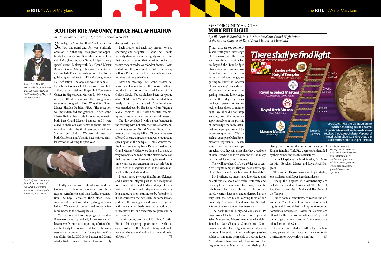### SCOTTISH RITE MASONRY, PRINCE HALL AFFILIATION

*by: Ill. Bennie G. Owens, 33°, Orient Personal Representative*

Saturday, the Seventeenth of April in the year<br>Sof Two Thousand and Ten was a historic occasion. On that day I was given the opportunity to represent our Scottish Rite in the Orient of Maryland and Our Grand Lodge at a very special event. I, along with Past Grand Master Ronald George Belanger, his lovely wife Karen, and my lady Rena Kay Wilson, were the distinguished guests of Scottish Rite Masonry, Prince Hall Affiliation. The occasion was the Samuel T. Daniels, Sr. Council of Deliberation. It was held at the Clarion Hotel and Hager Hall Conference Center in Hagerstown, Maryland. We were received a little after noon with the most gracious ceremony along with Most Worshipful Grand Master Shelden Redden, PHA. The reception was most dignified and gracious. After Grand Master Redden had made his opening remarks, both Past Grand Master Belanger and I were asked to share our own remarks about this historic day. This is the third recorded visit in our Southern Jurisdiction. We were informed that both California and Virginia have enjoyed similar invitations during the past year.



Shortly after we were officially received, the Council of Deliberation was called from business to refreshment and their Ladies organization, The Loyal Ladies of The Golden Circle, were admitted and introduced, along with our ladies. We were of course asked to say a few more words to their lovely ladies.

My brethren, as this day progressed and as Freemasonry was practiced, I can truly say I have never felt such an outpouring of friendship and brotherly love as was exhibited by the kindness of those present. The Deputy for the Orient of Maryland, SGIG Leroy Lassiter and Grand Master Redden made us feel as if we were truly

Thank you my brothers of Maryland Scottish Rite for this inspiring opportunity. I wish that every brother in the Orient of Maryland could have felt the warm affection that I was afforded of April 17<sup>th</sup>.  $\mathscr{W}_4$ 

distinguished guests.

Each brother and each lady present were so charming and delightful. I wish that I could properly share with you the dignity and decorum that they practiced on that occasion. As hard as we try, they exceeded our fondest dreams. With a start like this, our Scottish Rite relationship with our Prince Hall brethren can only grow and improve both organizations.

After the meeting, Past Grand Master Belanger and I were afforded the honor of attending the installation of The Loyal Ladies of The Golden Circle. You would have been very proud of our "Old Grand Marshal" as he escorted these lovely ladies to be installed. The installation was presided over by The Deputy from Virginia, SGIG George M. Ellis. It was a beautiful ceremony and done with the utmost taste and finesse.

I must ask, are you comfort-<br>able with your knowledge of Freemasonry? Have you ever wondered about what lies beyond the "Blue Lodge? I truly hope so. It was curiosity and intrigue that led you to the door of your Lodge, inquiring to know the "Secrets of Freemasonry". As a Master Mason, we are but infants regarding Masonic knowledge, but the third degree gives us the keys of permission to unlock endless doors to further light. We should never stop learning, and the more we apply ourselves in the pursuit of knowledge the more satisfied and equipped we will be to answer questions. We are each an example of what Freemasonry represents. When

The day concluded with a great banquet in the evening with not only their usual toasts, but also toasts to our Grand Master, Grand Commander, and Deputy Mills. Of course we were afforded the usual speeches and were required to speak again at the banquet. I must confess that the kind remarks by both Deputy Lassiter and Grand Master Redden were designed to make us very welcome and to honor the historic occasion that this truly was. I am looking forward to the time when we can entertain the Scottish Rite in The Orient of Maryland, PHA, in the same manner that they entertained us.

4 5 The York Rite in Maryland consists of 19 Royal Arch Chapters, 15 Councils of Royal and Select Masters and 14 Commanderies of Knights Templar. Our Chapters, Councils and Commanderies, like Blue Lodges are scattered across our state. Like Scottish Rite, there is a progressive ladder to join, none being able to become Royal Arch Masons than those who have received the degree of Master Mason and stood their profi-



If you are interested in further light in Masonry, please visit our websites: www.mdscottishrite.org or www.yorkrite.com/md.  $\mathscr{C}_{\ell k}$ 

I feel a special privilege that Brother Belanger and I were an integral part in our recognition for Prince Hall Grand Lodge and again to be a part of this historic first. May our association be long and our actions continue to be favorable. Is it not wonderful that we teach the same lessons and have the same goals and can work together with the same brotherly love and affection that is necessary for our fraternity to grow and be prosperous.

*I can truly say I have never felt such an outpouring of friendship and brotherly love as was exhibited by the kindness of those present.* 



*Shelton D. Redden, 33° Most Worshipful Grand Master, The Most Worshipful Prince Hall Grand Lodge of Maryland and Jurisdiction, Inc.*

### MASONIC UNITY and the YORK RITE LIGHT

*By: Ill. Louis F. Bandell, Jr. 33°, Most Excellent Grand High Priest of the Grand Chapter of Royal Arch Masons of Maryland*

your friend or anyone approaches you, they will most likely have read one of Dan Brown's books or seen one of the many movies that feature Freemasonry.

They will have heard of the 32nd degree or Ancient Knights Templar. They will have knowledge of the Shriners and their benevolent Hospitals.

My brothers, we must have knowledge and be enthusiastic about our entire Fraternity and be ready to sell them on our teachings, concepts, beliefs and objectives. In order to be so prepared, we must have seen and understood, at the very least, the two major learning tools of our Fraternity: The Ancient and Accepted Scottish Rite and the York Rite of Freemasonry.

ciency and so on up the ladder to the Order of Knight Templar. York Rite degrees are identified by their names and are thus structured:

**In the Chapter** as the Mark Master, Past Master, Most Excellent Master and Royal Arch De-

grees.

**The Council Degree** names are Royal Master, *represents.*Select Master and Super Excellent Master.

Finally the **degrees in Commandery** are called Orders and are thus named: The Order of Red Cross, The Order of Malta and The Order of

the Temple

Under normal conditions, to receive the degrees, the York Rite will consume between 6–9 nights which could last as long as 6 months. Sometimes accelerated Classes or festivals are offered for those whose schedules won't permit them to go the normal route. These events are

offered around the State.

*We should never stop learning, and the more we apply ourselves in the pursuit of knowledge the more satisfied and equipped we will be to answer questions. We are each an example of what Freemasonry*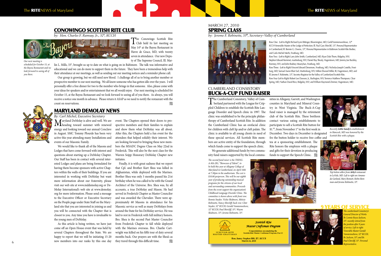### conowingo SCOTTISH RITE CLUB

*by: Hon. Charles F. Ramsay, Jr., 32°, KCCH*



Our group is growing, but we still need new blood. I challenge all of us to bring another member or prospective member to our next meeting. We all know someone who has gotten idle over the years. I will personally offer a free dinner for two to the member who brings in that someone. Also, please come with your ideas for speakers and/or entertainment that we all would enjoy. Our next meeting is scheduled for October 15, at the Bayou Restaurant and we look forward to seeing all of you there. As always, you will receive a notice one month in advance. Please return it ASAP as we need to notify the restaurant with the count on reservations.



lin L. Mills, 33°, brought us up to date on what is going on in Baltimore. The talk was informative and educational and we can do more to support them in the future. They have been a tremendous help with their attendance at our meetings, as well as sending out our meeting notices and a reminder phone call.

*Our next meeting is scheduled for October 15, at the Bayou Restaurant and we look forward to seeing all of you there.* 

### March 27, 2010 SPRING CLASS

*by: Jerome F. Robinette, 33*°*, Secretary–Valley of Cumberland*



nities in Allegany, Garrett, and Washington counties in Maryland and Mineral Country in West Virginia. The Buck-A-Cup fund raiser is managed by the retirement club of the Scottish Rite. These brethren contact various eating establishments to participate to sell a Scottish Rite button for \$1.<sup>00</sup>, from November 1<sup>st</sup> to the first week in

tea at a sponsoring establishment. The Rite honors the employes with a plaque and gifts for their devotion in producing funds to support the Speech Clinic.  $\mathscr{U}_A$ 

Row Two: (Left to Right) Larry John Smith, Cumberland, MD; Ryan Dale Thorn, Ridgeley, WV; Stephen Edward Kemmet, martinsburg, WV; Daniel Ray Shealy, Hagerstown, MD; Jeremy Joe Buckley,

and Carlo Michel Merhi, Frostburg, MD. Romney, WV; and John Rodney Meanyhan, Frostburg, MD.

Row Three: (Left to Right) Vincent Edward Densmore, Frostburg, MD; Nicholas Joseph Costello, Frostburg, MD; Samuel Aaron Blair Earl, Martinsburg, WV; Milton Elwood Miller, III, Hagerstown, MD; and Ill. Jerome F. Robinette, 33°, Secretry-Registrar for the Valley of Cumberland Scottish Rite.

Row Four (Left to Right) Robert Lee Dawson, Jr., Burlington, WV; Terrence Matthew Thompson, Clear Spring, MD; Nathan David Rice, Ridgeley, WV; and William Raymond Zimmer, Hagerstown, MD.



*General Director of Works Br. Lonnie Royce Jackson, 33°, recently retired from the position after 9 years of service. Left to right: Venerable Master Gerald Vannienwehove, 32° KCCH, Br. Jackson, 33°; and Br. Paul Chircliff, 33°. Personal Representative.*

### Cumberland Consistory Buck-a-cup fund raiser

**VI** heading toward summer with renewed energy and looking toward our annual Conclave in August. SMC Tommy Plourde has been very active this year attending many Installations and events of our Masonic Family.

The Cumberland Consistory, Valley of Cum-berland partnered with the League for Crippled Children to establish the Scottish Rite Language Disorder and Speech clinic in 1997. The clinic was established to be the principle philanthropy of Cumberland Scottish Rite. In addition the Cumberland Clinic has an orofacial clinic for children with cleft lip and/or cleft palate. The clinic is available to all young clients in need of these special services. All Scottish Rite members are active entity of the foundation, through which funds come to support the speech clinic.

We generate additional funds by two community fund raisers supported by the local commu-

Maryland DeMolay is alive and well. We are event. The Chapters opened their doors to pro-<br>heading toward summer with renewed spective members and their families to explain spective members and their families to explain and show them what DeMolay was all about. After this, the Chapters held a fun event for the attendees that helped solidify their interest. We are looking forward to bringing these new members the MSADC Degree Class on May 22nd in Frederick. This will also be the next class for the Warren Seipp Honorary DeMolay Chapter new initiates.

> Finally, it is with great sadness that we report that Cpl. and Brother Kurt Shea was killed in Afghanistan, while deployed with the Marines. Brother Shea was only 3 months passed his 21st birthday when he was called to be with the Grand Architect of the Universe. Bro. Shea was, by all accounts, a true DeMolay and Mason. He had served in Frederick Chapter as Master Councilor and was awarded the Chevalier. There were approximately 60 Masons in attendance for his Masonic service as well as many DeMolays from around the State for his DeMolay service. He was laid to rest in Frederick with full military honors. Bro. Shea is the second Past Master Councilor from Frederick Chapter to fall while deployed with the Marines overseas. Bro. Charlie Cartwright was killed on his fifth tour of duty several months back. Our prayers are with the Shea's as they travel through this difficult time.  $\mathscr{U}_4$

December. Two days in December is designated fro the button holder to receive free coffee and



*Recently Little Sandy's establishment in Hancock, MD was honored by the Scottish Rite with a plaque.* 



*Top botton sellers from Arby's restaurant in LaVale, MD. Left to right are Amanada Garland, Mary Bennett, Robin Bemman and Jerome Robinette, 33*°*.*

*The second fund raiser is the THING-A-MA-JIG, "Showcase of Talent", to be held this year at Allegany College of Maryland in Cumberland, on April 16th at 7:30pm in the auditorium. The cost is \$10.00 perperson. This will be our eighth year of producing outstanding musical programs for the citizens of our local and surrounding communities. Proceeds from the event support the organization's Childhood Language Disorder Clinic. The committee is shown above with front row: Ronnie Snyder, Vickie Skidmore, Mitizie Robinette, Nancy Shircliff; back row: Clint Snyder, 32° KCCH; Gerald Vannienwehove, 32° KCCH; Paul Shircliff, 33°; Wayne* 





Hon. Jamey Stephen Hill, 32°, KCCH

### The RITENEWS of Maryland The RITENEWS of Maryland

### 9 years of service

### MARYLAND DEMOLAY NEWS

*By: Carl Michel, Executive Secretary*

We would like to thank all of the Masons and Lodges that have come forward with interest and questions about starting up a DeMolay Chapter. Our Staff has been in contact with several interested Lodges and plans are being formulated for having them become sponsors with active Chapters within the walls of their buildings. If you are interested in working with DeMolay but want more information about our fraternity, please visit our web site at www.mddemolay.org or De-Molay International's web site at www.demolay. org for more information. Please send a message to the Executive Officer or Executive Secretary on the People page under State Staff on the Maryland site that you are interested in joining us and you will be connected with the Chapter that is closest to you. Any time you have is invaluable to the young men of DeMolay.

As this article is being written, we have just come off an Open House event that was held by several Chapters throughout the State. We are happy to report that we will be initiating 15-20 new members into our ranks by this one day

Row One: (Left to Right) Richard Lynn Bittinger, Bloomington, MD; Gerld Vannienwenhove, 32° KCCH Venerable Master of the Lodge of Perfection; Ill. Paul Gary Shircliff, 33°, Personal Representative in Cumberland; Ill. Bennie G. Owens, 33°, Personal Representative in Baltimore Scottish Rite Bodies;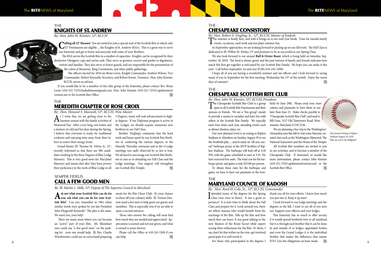**THE** Chesapeake Consistory

*By: Hon. Robert S. Yingling, Jr., 32°, KCCH, Master of Kadosh* The summer is finally here, and with it brings us to our mid-year break. Time for outside family events, vacations, yard work and just plain summer fun.

**L** events, vacations, yard work and just plain summer fun.

As September approaches, we are looking forward to picking up on our fall work. The Fall Class is dedicated to Ill. Wilbur M. Penley, 33° and promises to be as successful as our Spring Class.

I hope all of you are having a wonderful summer and my officers and I look forward to seeing many of you in September for the first meeting, Wednesday the 15<sup>th</sup> of the month. Enjoy the warm days of summer!

### **THE** CHESAPEAKE SCOTTISH RITE CLUB

We also look forward to our annual **Bull & Oyster Roast**, which is being held on Saturday, September 18, 2010. The food is always good, and the past turnout of family and friends indicates how much this first get together is welcomed by our Scottish Rite Family. We hope you can make it this year! Call before September 1st and save \$5.00 (410-243-3200).

The Chesapeake Scottish Rite Club is a group<br>open to all Scottish Rite Freemasons and their spouses or friends. We are a "fun group", meant to provide a means to socialize and have fun with others in the Scottish Rite Family. We typically meet four times each year, attending events such as dinner theatres, plays, etc.

We are planning a bus-trip to the Washington/ Alexandria area this fall to visit some Masonic oriented sites such as the Washington Memorial, The National Sojourners and the House of the Temple. All Scottish Rite members are invited to join in our activities, and to become a member of the Chesapeake Club. If interested, or would like more information, please contact John Kinnier (410-321-7235/captkinnier@verizon.net) or the Scottish Rite Office.

*By: Hon. John W. Kinnier, 32°, KCCH, President*

Our next planned event is an outing to Ripken Stadium in Aberdeen on Sunday, August 29 to see the Ironbirds play…..and to enjoy an "all-you-caneat" barbeque picnic at the MVP facilities of Ripken Stadium. The barbeque will kick-off at 4:30 PM, with the game scheduled to start at 5:35. We have reserved box-seats. The total cost for the barbeque picnic and game is only \$25.00 per person.

To obtain these rates for the barbeque and game, we have to have our payments to the Iron-

I attended many of the degrees for the Spring Class (was even in three). It was a great experience! It is now time to think about the Fall Class and prepare for it. Look around you, there are fellow masons who would benefit from the teachings of the Rite. Talk up the Rite and how much they can learn. It was great talking to the new Masters of the Royal Secret while experiencing their enthusiasm for the Rite. To them, I say, don't let that wither on the vine–get involved, participate it is well worth it. *By: Hon. Reed H. Cole, Sr., 32°, KCCH, Commander*

But those who participated in the degrees I and YOU! Live the obligations we have made. We who participated in the degrees I and  $\mathscr{C}$ 

### TH<sub>F</sub> KNIGHTS OF ST. ANDREW

birds by June 29th. Please send your reservations and payments to have them in not

**HALLAND AND REAL PROPERTY** 

### later than June 23. Make checks payable to "Chesapeake Scottish Rite Club", and mail to Bill Grau, 3137 Old Taneytown Road, Westminster, Maryland 21158-2536.

**Calling all 32° Masons!** You are invited to join a special unit of the Scottish Rite in which only 32° Freemasons are eligible....the Knights of St. Andrew (KSA). This is a great way to serve our fraternity and get to know and associate with some of your Brothers.

If you would like to be a member of this elite group of the fraternity, please contact Bro. Brian Lewis (410-321-7235)/ksabaltimore@gmail.com, Hon. John Kinnier (410-321-7235)/captkinnier@ verizon.net or the Scottish Rite Office.

> *2nd Annual Outing to Ripken Stadium August 29, 2010 "Take me out to the Ballgame"*

 $A$ s I write this, we are getting close to the Summer season with the family activities of Memorial Day. After a very long, wet winter and a mixture of cold and hot days during the Spring, I believe that everyone is ready for traditional cookouts and enjoying time away from their labors to renew their energy levels.

> thank you all for your efforts. I know how much you put into it, Keep it up men!

I look forward to our lodge meetings and the degrees in the fall. I want to see all of you turn out. Support your officers and your lodges

Please call the Office at 410-243-3200 if you can help.  $\mathscr{C}_{\mathscr{U}}$ 

This fraternity has so much to offer society if it would spread brotherly love to all mankind, but it is through each brother that it can be done. In and outside of or lodges, appendant bodies, and even the Grand Lodges it is the individual brother that makes the difference–that means

### The MARYLAND COUNCIL OF KADOSH

*By: Hon. John W. Kinnier, 32°, KCCH*

The KSA serves the Scottish Rite in a number of capacities. Knights can be recognized by their distinctive Glengarry caps and tartan sash. They serve as greeters, escorts and guides to dignitaries, visitors and families. They also serve as honor guards, and are responsible for the presentation of

the colors at Reunions, Ring Ceremonies, and other public gatherings.

The officers elected for 2010 are Brian Lewis, Knight Commander; Andrew Wilson, Vice Commander; Robert Reynolds, Secretary; and Robert Koons, Treasurer. Hon. John Kinnier, KCCH, serves as advisor.

### The MEREDITH CHAPTER OF ROSE CROIX

*By: Hon. Howard S. Maxwell, 32°, KCCH, Wise Master*

Grand Master Ill. Thomas M. Velvin, Jr., 33°, recently informed us that there are 500 candidates working in the three Degrees of Blue Lodge Masonry. This is very good news for Maryland Masonry and means that after they have proven their proficiency in the work of Blue Lodge in all 3 Degrees, many will seek advancement to higher degrees. If our Diplomat program is active in the Lodges, we should acquire numerous new brethren in our Fall Class.

Brother Yingling's comments that the hard work and hours spent by our Scottish Rite Brethren in conferring the various degrees, in the Maundy Thursday ceremony and in the 4 Lodge meetings was sadly observed by so few is true. We all need to encourage our Scottish Rite Brethren to join us in attending our Fall Class and the Lodge meetings. Our support will strengthen our Scottish Rite Temple.

### SEMPER FIDELIS CALL A FEW GOOD MEN

*By: Ill. Marlin L. Mills, 33°, Deputy of The Supreme Council in Maryland*

**Ask not what your Scottish Rite can do for you, ask what you can do for your Scottish Rite!** Can you remember in 1961 when similar words were spoken by our late President John Fitzgerald Kennedy? The plea is the same. We need you, your help!

There are many areas where you can become an "active" part of your Rite. Mr. Rhinehart sure could use "a few good men," on the parking lot - even one would help. Ill. Bro. Charlie Winebrenner could use an extra hand preparing

meals for the Rite Cheer Club. It's your chance to show off your culinary skills. Ill. Vernon Denison need a few men to help greet our guests and members. This is especially true if we are able to open a second entrance.

Those who answer the calling will soon find how much they are needed and appreciated. Appreciation is earned and not just given, and what is earned is yours forever.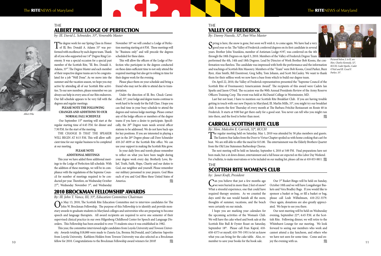The degree work for our Spring Class in Honor<br>of Ill, Bro. Donald A. Adams 33° was performed with excellence by each degree team. Thank all of you who supported our 14<sup>th</sup> Degree Ring Ceremony. It was a special occasion for a special past member of the Scottish Rite, "Ill. Bro. Donald A. Adams, 33°". The Degree Master and each member of their respective degree teams are to be congratulated for a job "Well Done". As we move into the summer and the vacation season, we hope you stay active by attending all of our Scottish Rite activities. To our new members, please remember we can always use help in every area of our Rite endeavors. Our fall schedule appears to be very full with the degrees and regular meetings.

Our September 15<sup>th</sup> meeting will start at the regular starting time of 6:45 P.M. for dinner and 7:30 P.M. for the start of the meeting.

This year we have added three additional meetings to the Lodge of Perfection fall schedule. With the addition of these meetings, we will be in compliance with the regulations of the Supreme Council for number of meetings required to be conducted per year. Therefore, on Wednesday October 27<sup>th</sup>, Wednesday November 3<sup>rd</sup>, and Wednesday

### **PLEASE NOTE THE FOLLOWING CHANGES AND ADDITIONS TO OUR NORMAL FALL SCHEDULE**

November 10<sup>th</sup> we will conduct a Lodge of Perfection meeting starting at 6 P.M. These meetings will be "Business only" and will precede the degrees scheduled for these dates.

THE CHANGE IS THAT THE SPEAKER WILL BEGIN AT 8:15 P.M. This will allow sufficient time for our regular business to be completed at our meeting.

### **PLEASE NOTE ADDITIONAL MEETINGS**

### **THE** ALBERT PIKE LODGE OF PERFECTION

### **THE** VALLEY OF FREDERICK

This will allow the officers of the Lodge of Perfection who participate in the degrees conducted on these dates sufficient time to not only attend the required meetings but also get to robing in time for their degree work for the evening.

Please place them on your schedule and bring a friend who may not be able to attend due to transportation.

 $S<sub>good</sub>$  year so far. The Valley of Frederick conferred degrees on its first candidate in several good year so far. The Valley of Frederick conferred degrees on its first candidate in several years. Brother John Younkins, member of Antietam Lodge #197, was conferred on the 4th through the 18th Degrees on April 3, 2010. Members of the Valley of Frederick Degree Team performed the 4th, 14th and 18th Degrees. Lead by Director of Work Brother Bob Koons, the confirmation was flawless. The candidate was impressed with both the performance and the information and teachings of Scottish Rite Masonry. Members of the "Team" were Bob Koons, Creed Parker, Buzz Byer, Alan Smith, Bill Eisentrout, Greg Selby, Tom Johann, and Scott McCauley. We want to thank them for their selfless work we now have a base from which to build our degree team.

Under the direction of Ill. Bro. Chuck Carmichael, 33°, your lodge and degree teams continue to work hard to be ready for the Fall Class. I hope you can find time in your busy schedule to attend the degrees and various lodge meetings. Please contact any of the lodge officers or members of the degree teams if you have a desire to participate. Specifically, the 20<sup>th</sup> Degree team needs several officer stations to be addressed. We do not have back-ups for key positions. If you are interested in playing a part in the 20<sup>th</sup> Degree please call Dave Schneider 410-247-4039 or the Scottish Rite office. We can use your support in making the Scottish Rite grow.

### **THE** SCOTTISH RITE women's CLUB

**C**an you believe that just a few months ago we were buried in more than 2 feet of snow? What a stressful experience, one that could have required therapy sessions. As we counted the days until the sun would banish all the snow, thoughts of summer, vacations, and the beach were certainly on our minds.

In your daily lives and travels please remember to reflect on what you have been taught during your degree work every day. Brotherly Love, Relief, Truth, Faith, Hope, Charity and our duties to God, our neighbor and yourself. Please remember our military personnel in your prayers. God Bless each of you and God Bless these Untied States of America.

*by: Ill. David L. Schneider, 33°, Venerable Master*



*By: Danny Nuessle, 32°, Past Wise Master*

*Albert Pike*

 $\bigodot$  John W. Brockman Fellowship. The purpose of this Fellowship is to identify and provide mon-<br>John W. Brockman Fellowship. The purpose of this Fellowship is to identify and provide monetary awards to graduate students in Maryland colleges and universities who are preparing to become speech and language therapists. All award recipients are required to serve one semester of their supervised clinical practice in our own Hilgenberg Childhood Center for Speech and Language Disorders. This Fellowship has been awarded to over 75 students since it was established in 1982.

10 11 fellow for 2010. Congratulations to the Brockman Fellowship award winners for 2010! This year, the committee interviewed eight candidates from Loyola University and Towson University. Awards totaling \$18,000 were made to Zaneta Liu, Brenna McDonald, and Catherine Saporito from Loyola University. Kathleen Holden from Towson University was also selected as a Brockman

The regular meeting held on Saturday, May 1, 2010 was attended by 50 plus members and guests.<br>The Eastern Star ladies from the Door to Virtue Chapter spoiled us with home cooking that can't be beat. We are still able to offer the meal for \$15.00. The entertainment was the Elderly Brothers Quartet from the Old Line Statesmen Barbershop Chorus.

The next meeting will be held on Saturday, September 4, 2010 at 5:00 PM. Final preparations have not been made, but a sit down dinner, entertainment and a full house are expected on this Labor Day Weekend. For a bulletin, to make reservations or to be included on our mailing list, please call me at 410-833-8811. *Ma* 

On April 22, 2010, the Valley of Frederick representatives presented the "Supreme Council of the Scottish Rite of Freemasonry Americanism Award". The recipients of this award were Cadets Ian Sparks and Jason O'Neil. The occasion was the 90th Annual Presidents Review of the Army Reserve Officers Training Corp. The event was held at McDaniel College in Westminster, MD.

Last but not least, I have to mention our Scottish Rite Breakfast Club. If you are having trouble getting in touch with our new Deputy in Maryland, Ill. Marlin Mills, 33°, you might try our breakfast club. It meets the first Thursday of every month at The Barbara Fritchie Restaurant on Route 40 in Frederick. It starts at 9:00 but get there early for a good seat. You never can tell who you might run into there, and the food is better than most.



*Pictured below, L to R, are Hon. Charles Kennedy, 32°, KCCH, Cadet Sparks, Cadet O'Neil and Ill. Creed F. Parker, 33°.*

*by: Janet Kraft, President*

I hope you are marking your calendars for the upcoming activities of the Woman's Club. We will have the cake wheel and book sale at the Scottish Rite Bull & Oyster Roast on Saturday, September 18<sup>th</sup>. Please call Fran Kapral, 410-658-4373 or myself, 410-795-1951 to let us know what you can bring for the cake table. Also, remember to save your books for the book sale.

Our 3rd Basket Bingo will be held on Sunday, October 10th and we will have Longaberger Baskets and Vera Bradley Bags. If you would like to sponsor a basket or bag, or fill a basket or bag, please call Leah Wilhelmsen, 410-252-3379. Once again, donations are also greatly appreciated. We hope to see you there.

Our next meeting will be held on Wednesday evening, September 22nd, 6:45 P.M. at the Scottish Rite. Following dinner, we will retire to the Whitehurst Lounge for our meeting. We look forward to seeing our members who work and cannot attend a day luncheon, and others who we have not seen for some time. Come and enjoy the evening with us.

### 2010 BROCKMAN FELLOWSHIP AWARDS

*By: Ill. John T. Vance, III, 33°, Education Committee Chairman*

### CARROLL SCOTTISH RITE CLUB

*By: Hon. Malcolm E. Carrick, 32°, KCCH*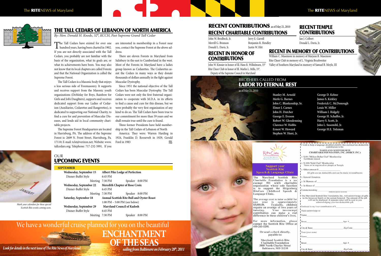### **OUR** Upcoming events

12

### **September**

### RECENT CHARITABLE CONTRIBUTIONS RECENT CONTRIBUTIONS as of May 21, 2010

| Wednesday, September 15        | <b>Albert Pike Lodge of Perfection</b>          |                                                   |
|--------------------------------|-------------------------------------------------|---------------------------------------------------|
| Dinner-Buffet Style            | 6:45 PM                                         |                                                   |
| Meeting                        | 7:30 PM                                         | Speaker 8:00 PM                                   |
| <b>Wednesday, September 22</b> | <b>Meredith Chapter of Rose Croix</b>           |                                                   |
| Dinner-Buffet Style            | 6:45 PM                                         |                                                   |
|                                | Meeting 7:30 PM                                 | Speaker 8:00 PM                                   |
| Saturday, September 18         |                                                 | <b>Annual Scottish Rite Bull and Oyster Roast</b> |
|                                | $1:00 \text{ PM} - 5:00 \text{ PM}$ (see below) |                                                   |
| <b>Wednesday, September 29</b> | <b>Maryland Council of Kadosh</b>               |                                                   |
| Dinner-Buffet Style            | 6:45 PM                                         |                                                   |
|                                | Meeting 7:30 PM                                 | 8:00 PM<br>Speaker                                |
|                                |                                                 |                                                   |

## We have a wonderful cruise planned for you on the beautiful **ENCHANTMENT**

*Look for details in the next issue of The Rite News of Maryland* sailing from Baltimore on February 28<sup>th</sup>, 2011

### RECENT TEMPLE **CONTRIBUTIONS**

*Mark your calendars for these special Scottish Rite events coming soon.*

John W. Brodbeck, Jr. Merrill G. Brunson Donald L. Davis, Jr.

**CONTRIBUTIONS** 

Jerry E. Garrell Benjamin R. Hendley Justin W. Hitt

Ian J. Colbert Donald L. Davis, Jr.

RECENT IN HONOR OF

John W. Kinnier in honor of Ill. Hans R. Wilhelmsen, 33° Rite Cheer Club in honor of Ill. Marlin L. Mills, 33°, Deputy of the Supreme Council in Maryland

### RECENT IN MEMORY OF CONTRIBUTIONS

| , Sr. |  |  |
|-------|--|--|
|       |  |  |
| ing   |  |  |

The Tall Cedars have existed for over one<br>hundred years, having been charted in 1902. If you are not directly associated with the Tall Cedars, you probably are not familiar with the basis of the organization, what its goals are, or what its achievements have been. You may also not know that its local chapters are called Forests and that the National Organization is called the Supreme Forest.

William C. Masemore in memory of Marjean B. Masemore Rite Cheer Club in memory of L. Virginia Brushweiter Valley of Southern Maryland in memory of Samuel B. Moyle, III

### Brothers called from Labor to eternal rest

as of May 21, 2010

**Stanley M. Arnold Merle G. Barnes John C. Blankenship Elmer J. Carnes John H. Dutcher George E. Eveson Robert W. Glendenn Clarence W. Hobbs Ernest W. Howard Stephen W. Hunt, Jr.**



### **Support your Scottish Rite Speech & Language Clinic**

Maryland Scottish Rite The Charitable Foundation is a tax exempt 501 (c)(3) charitable organization whose sole function is to support the Hilgenberg<br>RiteCare Childhood Speech & Language Clinic.

The average cost to tutor a child for one year is approximately \$5,000.00. Typically, children require an average of two years of tutoring. Your tax-exempt contribution can make a real difference in these children's lives.

For more information, please<br>contact the Scottish Rite Office at 410-243-3200.

> Or send a check directly, payable to:

> **Maryland Scottish Rite Charitable Foundation** 3800 North Charles Street Baltimore, MD 21218



**George D. Kehne James S. Kirkley Frederick C. McDonough Louis W. Miller William I. Ridgely George H. Schaffer, Jr. Harry S. Scott, Jr. John L. Susemihl, Jr. George H.E. Tolzman**

|                                                                             | I wish to help a language-disabled child by this enclosed tax-deductible<br>contribution to the                                                  |
|-----------------------------------------------------------------------------|--------------------------------------------------------------------------------------------------------------------------------------------------|
|                                                                             | <b>MARYLAND SCOTTISH RITE</b><br><b>CHARITABLE FOUNDATION, INC. (MSRCF, INC.)</b>                                                                |
| 5100 - Million Dollar Club" Membership<br>Certificate issued                |                                                                                                                                                  |
| a \$1,000-"Gold Club" Membership<br>Name to be engraved on plaque at Temple |                                                                                                                                                  |
| Other amount \$                                                             |                                                                                                                                                  |
|                                                                             | All gifts are tax deductible and can be made in installments                                                                                     |
| <b>C</b> General Donation                                                   |                                                                                                                                                  |
| $\Box$ In Memory of                                                         |                                                                                                                                                  |
| $\Box$ In Honor of                                                          |                                                                                                                                                  |
| Commemorating:                                                              |                                                                                                                                                  |
|                                                                             | cledicate special occasions                                                                                                                      |
|                                                                             | The Maryland Scottish Rite Foundation, Inc., will acknowledge all gifts<br>to the bereaved family or the person honored. The amount of the gift  |
|                                                                             | will not be disclosed. A separate letter will be sent to you<br>acknowledging your tax-deductible gift.<br>Enclosed is my/our contribution of \$ |
| Please acknowledge to:                                                      |                                                                                                                                                  |
| Name                                                                        |                                                                                                                                                  |
| Street                                                                      | ApLff                                                                                                                                            |
| City & State Zip Code                                                       |                                                                                                                                                  |
| From fyour name)                                                            |                                                                                                                                                  |
| Name                                                                        |                                                                                                                                                  |
| Street<br>the control of the control of the control of the control of       | Apt. #                                                                                                                                           |



### THE TALL CEDARS OF LEBANON OF NORTH AMERICA

*By: Hon. Donald H. Knode, 32°, KCCH, Past Supreme Grand Tall Cedar*

Three former Presidents have held membership in the Tall Cedars of Lebanon of North America. They were: Warren Harding in 1924, Franklin D. Roosevelt in 1929, Gerald Ford in 1983  $\mathscr{W}_{4}$ .

The Tall Cedars is a Masonic body that enjoys a less serious side of Freemasonry. It supports and receives support from the Masonic youth organizations (DeMolay for Boys, Rainbow for Girls and Job's Daughters), supports and receives dedicated support from our Ladies of Cedarism (Auxiliaries, Cedarettes and Rangerettes), is dedicated to supporting our National Charity, to find a cure for and prevention of Muscular Diseases, and lends aid in local community charitable projects.

The Supreme Forest Headquarters are located in Harrisburg, PA. The address of the Supreme Forest is: 2609 N. Front Street, Harrisburg, Pa. 17110; E-mail: tclst@verizon.net; Website: www. tallcedars.org; Telephone: 717-232-5991. If you

are interested in membership in a Forest near you, contact the Supreme Forest at the above address.

There are eleven Forests in Maryland from Salisbury in the east to Cumberland in the west. Most of the Forests in Maryland have a ladies group known as Cedarettes. The Cedarettes assist the Cedars in many ways as they donate thousands of dollars annually in the fight against Muscular Dystrophy.

Since 1951 the national objective of the Tall Cedars has been Muscular Dystrophy. The Tall Cedars were not only the first fraternal organization to cooperate with M.D.A. in its efforts to find a cause and cure for this disease, but we were probably the very first organization of any kind to do so. The Tall Cedars have been true to our commitment for more than 59 years and we shall remain true until the cure is found.

**ofthe Seas**